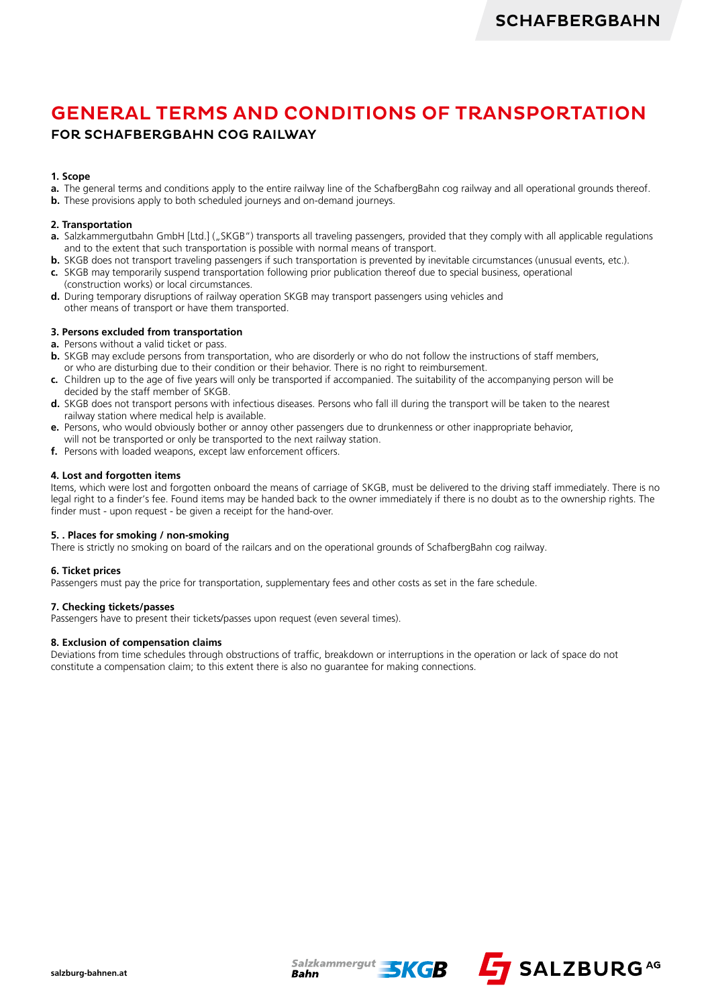# GENERAL TERMS AND CONDITIONS OF TRANSPORTATION

# FOR SCHAFBERGBAHN COG RAILWAY

### **1. Scope**

- **a.** The general terms and conditions apply to the entire railway line of the SchafbergBahn cog railway and all operational grounds thereof.
- **b.** These provisions apply to both scheduled journeys and on-demand journeys.

#### **2. Transportation**

- **a.** Salzkammergutbahn GmbH [Ltd.] ("SKGB") transports all traveling passengers, provided that they comply with all applicable regulations and to the extent that such transportation is possible with normal means of transport.
- **b.** SKGB does not transport traveling passengers if such transportation is prevented by inevitable circumstances (unusual events, etc.).
- **c.** SKGB may temporarily suspend transportation following prior publication thereof due to special business, operational (construction works) or local circumstances.
- **d.** During temporary disruptions of railway operation SKGB may transport passengers using vehicles and other means of transport or have them transported.

## **3. Persons excluded from transportation**

- **a.** Persons without a valid ticket or pass.
- **b.** SKGB may exclude persons from transportation, who are disorderly or who do not follow the instructions of staff members. or who are disturbing due to their condition or their behavior. There is no right to reimbursement.
- **c.** Children up to the age of five years will only be transported if accompanied. The suitability of the accompanying person will be decided by the staff member of SKGB.
- **d.** SKGB does not transport persons with infectious diseases. Persons who fall ill during the transport will be taken to the nearest railway station where medical help is available.
- **e.** Persons, who would obviously bother or annoy other passengers due to drunkenness or other inappropriate behavior,
- will not be transported or only be transported to the next railway station.
- **f.** Persons with loaded weapons, except law enforcement officers.

#### **4. Lost and forgotten items**

Items, which were lost and forgotten onboard the means of carriage of SKGB, must be delivered to the driving staff immediately. There is no legal right to a finder's fee. Found items may be handed back to the owner immediately if there is no doubt as to the ownership rights. The finder must - upon request - be given a receipt for the hand-over.

#### **5. . Places for smoking / non-smoking**

There is strictly no smoking on board of the railcars and on the operational grounds of SchafbergBahn cog railway.

#### **6. Ticket prices**

Passengers must pay the price for transportation, supplementary fees and other costs as set in the fare schedule.

#### **7. Checking tickets/passes**

Passengers have to present their tickets/passes upon request (even several times).

#### **8. Exclusion of compensation claims**

Deviations from time schedules through obstructions of traffic, breakdown or interruptions in the operation or lack of space do not constitute a compensation claim; to this extent there is also no guarantee for making connections.